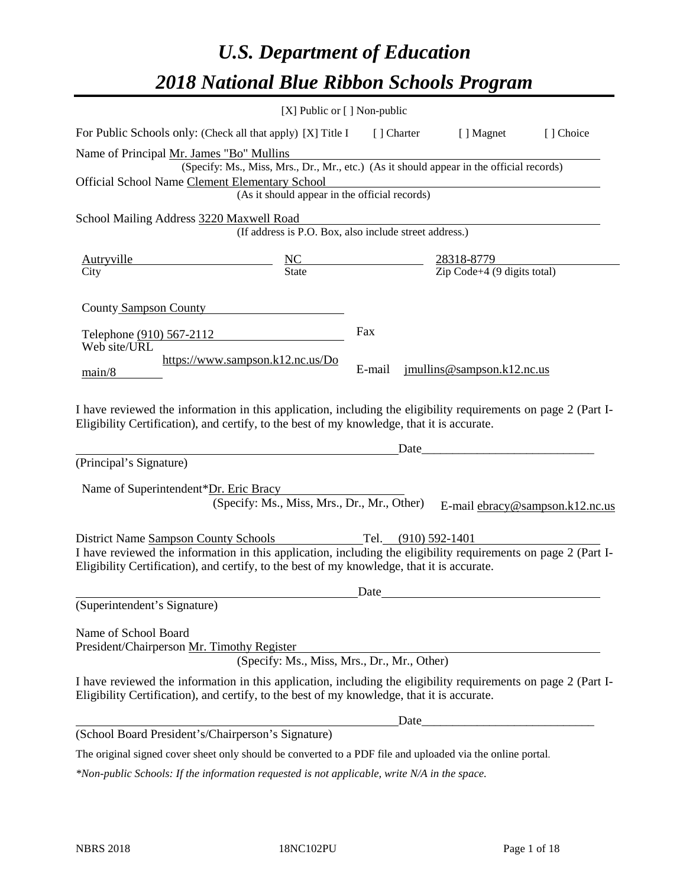# *U.S. Department of Education 2018 National Blue Ribbon Schools Program*

|                                                                                                                                                                                                                                                                          | [X] Public or [] Non-public                                                              |        |                                                                                                                                                                                                                                      |                                 |
|--------------------------------------------------------------------------------------------------------------------------------------------------------------------------------------------------------------------------------------------------------------------------|------------------------------------------------------------------------------------------|--------|--------------------------------------------------------------------------------------------------------------------------------------------------------------------------------------------------------------------------------------|---------------------------------|
| For Public Schools only: (Check all that apply) [X] Title I [] Charter [] Magnet                                                                                                                                                                                         |                                                                                          |        |                                                                                                                                                                                                                                      | [] Choice                       |
| Name of Principal Mr. James "Bo" Mullins                                                                                                                                                                                                                                 | (Specify: Ms., Miss, Mrs., Dr., Mr., etc.) (As it should appear in the official records) |        |                                                                                                                                                                                                                                      |                                 |
| Official School Name Clement Elementary School                                                                                                                                                                                                                           | Elementary School<br>(As it should appear in the official records)                       |        |                                                                                                                                                                                                                                      |                                 |
| School Mailing Address 3220 Maxwell Road                                                                                                                                                                                                                                 | (If address is P.O. Box, also include street address.)                                   |        |                                                                                                                                                                                                                                      |                                 |
| $\frac{\text{Autryville}}{\text{City}}$ $\frac{\text{NC}}{\text{State}}$ $\frac{28318-8779}{\text{Zip Code}+4 (9 digits total)}$                                                                                                                                         |                                                                                          |        |                                                                                                                                                                                                                                      |                                 |
| County Sampson County                                                                                                                                                                                                                                                    |                                                                                          |        |                                                                                                                                                                                                                                      |                                 |
| Telephone (910) 567-2112<br>Web site/URL                                                                                                                                                                                                                                 |                                                                                          | Fax    |                                                                                                                                                                                                                                      |                                 |
| main/8                                                                                                                                                                                                                                                                   | https://www.sampson.k12.nc.us/Do                                                         | E-mail | $j$ mullins@sampson.k12.nc.us                                                                                                                                                                                                        |                                 |
| I have reviewed the information in this application, including the eligibility requirements on page 2 (Part I-<br>Eligibility Certification), and certify, to the best of my knowledge, that it is accurate.                                                             |                                                                                          |        |                                                                                                                                                                                                                                      |                                 |
|                                                                                                                                                                                                                                                                          |                                                                                          |        |                                                                                                                                                                                                                                      |                                 |
| (Principal's Signature)                                                                                                                                                                                                                                                  |                                                                                          |        |                                                                                                                                                                                                                                      |                                 |
| Name of Superintendent*Dr. Eric Bracy                                                                                                                                                                                                                                    | (Specify: Ms., Miss, Mrs., Dr., Mr., Other)                                              |        |                                                                                                                                                                                                                                      | E-mail ebracy@sampson.k12.nc.us |
| District Name Sampson County Schools Tel. (910) 592-1401<br>I have reviewed the information in this application, including the eligibility requirements on page 2 (Part I-<br>Eligibility Certification), and certify, to the best of my knowledge, that it is accurate. |                                                                                          |        |                                                                                                                                                                                                                                      |                                 |
|                                                                                                                                                                                                                                                                          |                                                                                          | Date   | <u>and the state of the state of the state of the state of the state of the state of the state of the state of the state of the state of the state of the state of the state of the state of the state of the state of the state</u> |                                 |
| (Superintendent's Signature)                                                                                                                                                                                                                                             |                                                                                          |        |                                                                                                                                                                                                                                      |                                 |
| Name of School Board<br>President/Chairperson Mr. Timothy Register                                                                                                                                                                                                       | (Specify: Ms., Miss, Mrs., Dr., Mr., Other)                                              |        |                                                                                                                                                                                                                                      |                                 |
| I have reviewed the information in this application, including the eligibility requirements on page 2 (Part I-<br>Eligibility Certification), and certify, to the best of my knowledge, that it is accurate.                                                             |                                                                                          |        |                                                                                                                                                                                                                                      |                                 |
|                                                                                                                                                                                                                                                                          |                                                                                          | Date_  |                                                                                                                                                                                                                                      |                                 |
| (School Board President's/Chairperson's Signature)                                                                                                                                                                                                                       |                                                                                          |        |                                                                                                                                                                                                                                      |                                 |
| The original signed cover sheet only should be converted to a PDF file and uploaded via the online portal.                                                                                                                                                               |                                                                                          |        |                                                                                                                                                                                                                                      |                                 |

*\*Non-public Schools: If the information requested is not applicable, write N/A in the space.*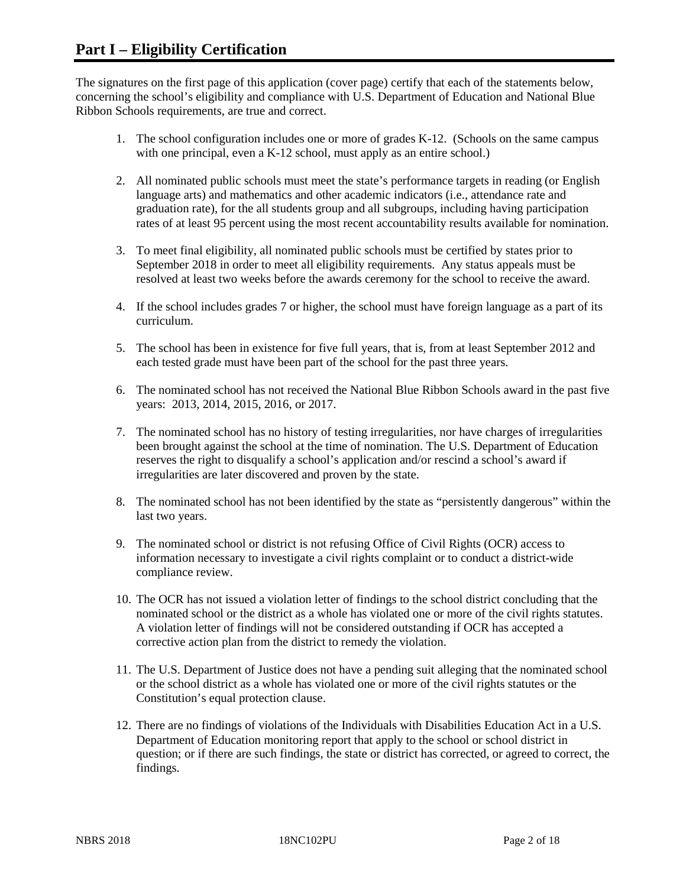The signatures on the first page of this application (cover page) certify that each of the statements below, concerning the school's eligibility and compliance with U.S. Department of Education and National Blue Ribbon Schools requirements, are true and correct.

- 1. The school configuration includes one or more of grades K-12. (Schools on the same campus with one principal, even a K-12 school, must apply as an entire school.)
- 2. All nominated public schools must meet the state's performance targets in reading (or English language arts) and mathematics and other academic indicators (i.e., attendance rate and graduation rate), for the all students group and all subgroups, including having participation rates of at least 95 percent using the most recent accountability results available for nomination.
- 3. To meet final eligibility, all nominated public schools must be certified by states prior to September 2018 in order to meet all eligibility requirements. Any status appeals must be resolved at least two weeks before the awards ceremony for the school to receive the award.
- 4. If the school includes grades 7 or higher, the school must have foreign language as a part of its curriculum.
- 5. The school has been in existence for five full years, that is, from at least September 2012 and each tested grade must have been part of the school for the past three years.
- 6. The nominated school has not received the National Blue Ribbon Schools award in the past five years: 2013, 2014, 2015, 2016, or 2017.
- 7. The nominated school has no history of testing irregularities, nor have charges of irregularities been brought against the school at the time of nomination. The U.S. Department of Education reserves the right to disqualify a school's application and/or rescind a school's award if irregularities are later discovered and proven by the state.
- 8. The nominated school has not been identified by the state as "persistently dangerous" within the last two years.
- 9. The nominated school or district is not refusing Office of Civil Rights (OCR) access to information necessary to investigate a civil rights complaint or to conduct a district-wide compliance review.
- 10. The OCR has not issued a violation letter of findings to the school district concluding that the nominated school or the district as a whole has violated one or more of the civil rights statutes. A violation letter of findings will not be considered outstanding if OCR has accepted a corrective action plan from the district to remedy the violation.
- 11. The U.S. Department of Justice does not have a pending suit alleging that the nominated school or the school district as a whole has violated one or more of the civil rights statutes or the Constitution's equal protection clause.
- 12. There are no findings of violations of the Individuals with Disabilities Education Act in a U.S. Department of Education monitoring report that apply to the school or school district in question; or if there are such findings, the state or district has corrected, or agreed to correct, the findings.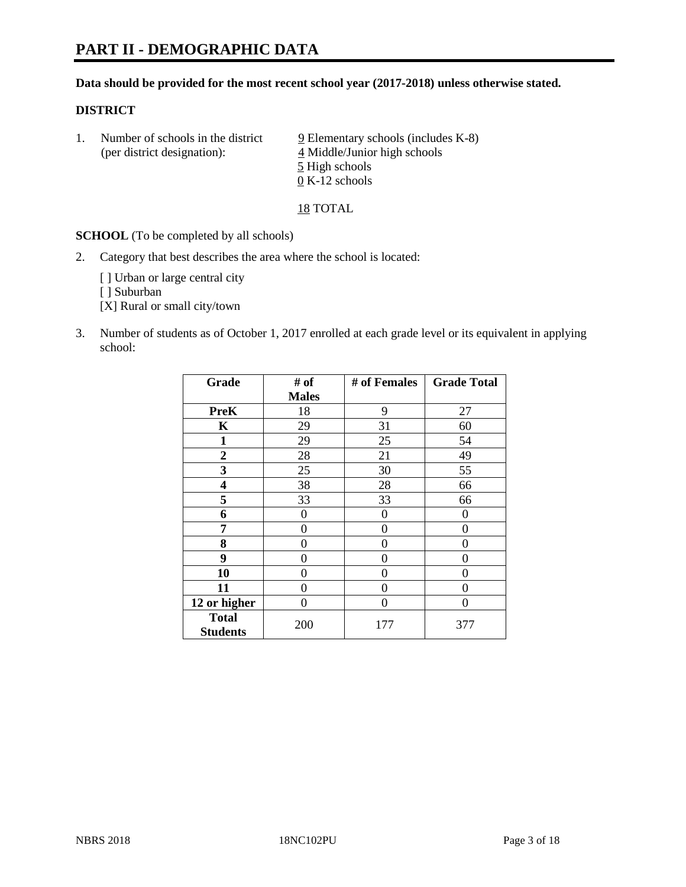## **Data should be provided for the most recent school year (2017-2018) unless otherwise stated.**

# **DISTRICT**

1. Number of schools in the district  $9$  Elementary schools (includes K-8) (per district designation): 4 Middle/Junior high schools 5 High schools 0 K-12 schools

18 TOTAL

**SCHOOL** (To be completed by all schools)

2. Category that best describes the area where the school is located:

[] Urban or large central city

[ ] Suburban

[X] Rural or small city/town

3. Number of students as of October 1, 2017 enrolled at each grade level or its equivalent in applying school:

| Grade                           | # of         | # of Females | <b>Grade Total</b> |
|---------------------------------|--------------|--------------|--------------------|
|                                 | <b>Males</b> |              |                    |
| <b>PreK</b>                     | 18           | 9            | 27                 |
| $\mathbf K$                     | 29           | 31           | 60                 |
| $\mathbf{1}$                    | 29           | 25           | 54                 |
| 2                               | 28           | 21           | 49                 |
| 3                               | 25           | 30           | 55                 |
| 4                               | 38           | 28           | 66                 |
| 5                               | 33           | 33           | 66                 |
| 6                               | 0            | 0            | 0                  |
| 7                               | 0            | 0            | 0                  |
| 8                               | 0            | 0            | 0                  |
| 9                               | 0            | 0            | 0                  |
| 10                              | 0            | 0            | 0                  |
| 11                              | 0            | 0            | 0                  |
| 12 or higher                    | 0            | 0            | 0                  |
| <b>Total</b><br><b>Students</b> | 200          | 177          | 377                |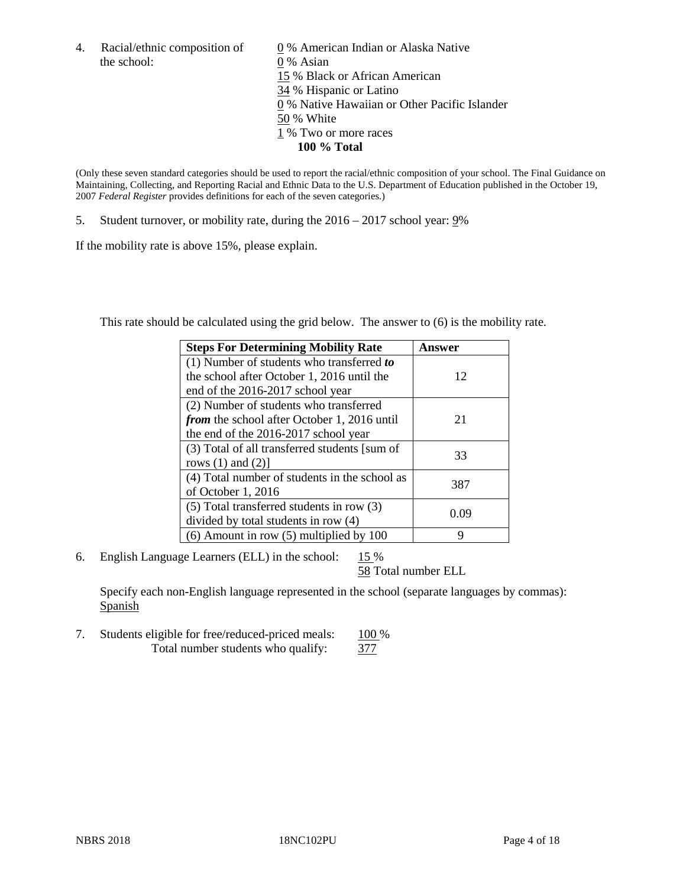the school: 0 % Asian

4. Racial/ethnic composition of  $\qquad 0\%$  American Indian or Alaska Native 15 % Black or African American 34 % Hispanic or Latino 0 % Native Hawaiian or Other Pacific Islander 50 % White 1 % Two or more races **100 % Total**

(Only these seven standard categories should be used to report the racial/ethnic composition of your school. The Final Guidance on Maintaining, Collecting, and Reporting Racial and Ethnic Data to the U.S. Department of Education published in the October 19, 2007 *Federal Register* provides definitions for each of the seven categories.)

5. Student turnover, or mobility rate, during the 2016 – 2017 school year: 9%

If the mobility rate is above 15%, please explain.

This rate should be calculated using the grid below. The answer to (6) is the mobility rate.

| <b>Steps For Determining Mobility Rate</b>         | Answer |
|----------------------------------------------------|--------|
| $(1)$ Number of students who transferred to        |        |
| the school after October 1, 2016 until the         | 12     |
| end of the 2016-2017 school year                   |        |
| (2) Number of students who transferred             |        |
| <i>from</i> the school after October 1, 2016 until | 21     |
| the end of the 2016-2017 school year               |        |
| (3) Total of all transferred students [sum of      | 33     |
| rows $(1)$ and $(2)$ ]                             |        |
| (4) Total number of students in the school as      |        |
| of October 1, 2016                                 | 387    |
| (5) Total transferred students in row (3)          |        |
| divided by total students in row (4)               | 0.09   |
| $(6)$ Amount in row $(5)$ multiplied by 100        | 9      |

6. English Language Learners (ELL) in the school:  $15\%$ 

58 Total number ELL

Specify each non-English language represented in the school (separate languages by commas): **Spanish** 

7. Students eligible for free/reduced-priced meals: 100 % Total number students who qualify:  $\frac{377}{37}$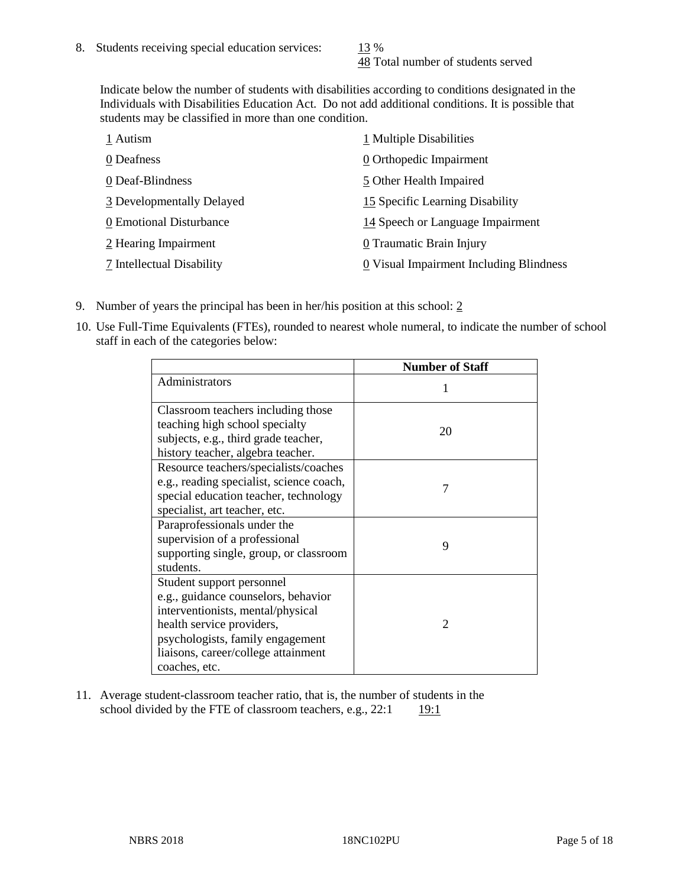48 Total number of students served

Indicate below the number of students with disabilities according to conditions designated in the Individuals with Disabilities Education Act. Do not add additional conditions. It is possible that students may be classified in more than one condition.

| 1 Autism                  | 1 Multiple Disabilities                 |
|---------------------------|-----------------------------------------|
| 0 Deafness                | 0 Orthopedic Impairment                 |
| 0 Deaf-Blindness          | 5 Other Health Impaired                 |
| 3 Developmentally Delayed | 15 Specific Learning Disability         |
| 0 Emotional Disturbance   | 14 Speech or Language Impairment        |
| 2 Hearing Impairment      | 0 Traumatic Brain Injury                |
| 7 Intellectual Disability | 0 Visual Impairment Including Blindness |

- 9. Number of years the principal has been in her/his position at this school:  $2$
- 10. Use Full-Time Equivalents (FTEs), rounded to nearest whole numeral, to indicate the number of school staff in each of the categories below:

|                                                                                                                                                                                                                                | <b>Number of Staff</b> |
|--------------------------------------------------------------------------------------------------------------------------------------------------------------------------------------------------------------------------------|------------------------|
| Administrators                                                                                                                                                                                                                 |                        |
| Classroom teachers including those<br>teaching high school specialty<br>subjects, e.g., third grade teacher,<br>history teacher, algebra teacher.                                                                              | 20                     |
| Resource teachers/specialists/coaches<br>e.g., reading specialist, science coach,<br>special education teacher, technology<br>specialist, art teacher, etc.                                                                    |                        |
| Paraprofessionals under the<br>supervision of a professional<br>supporting single, group, or classroom<br>students.                                                                                                            | 9                      |
| Student support personnel<br>e.g., guidance counselors, behavior<br>interventionists, mental/physical<br>health service providers,<br>psychologists, family engagement<br>liaisons, career/college attainment<br>coaches, etc. | $\mathfrak{D}$         |

11. Average student-classroom teacher ratio, that is, the number of students in the school divided by the FTE of classroom teachers, e.g.,  $22:1$  19:1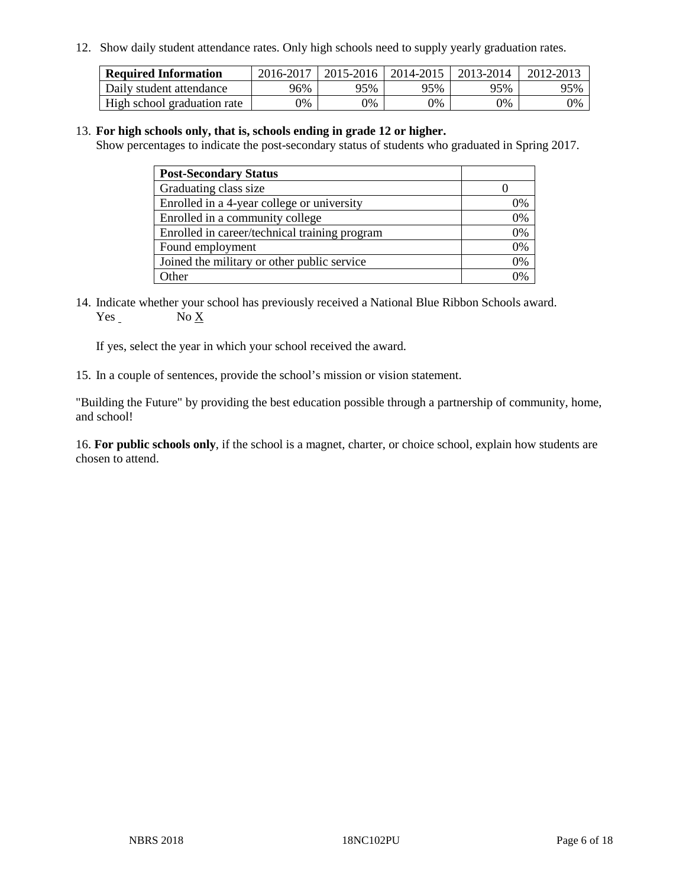12. Show daily student attendance rates. Only high schools need to supply yearly graduation rates.

| <b>Required Information</b> | 2016-2017 | $2015 - 2016$ | 2014-2015 | 2013-2014 | 2012-2013 |
|-----------------------------|-----------|---------------|-----------|-----------|-----------|
| Daily student attendance    | 96%       | 95%           | 95%       | 95%       | 95%       |
| High school graduation rate | 0%        | 0%            | 0%        | 9%        | 0%        |

#### 13. **For high schools only, that is, schools ending in grade 12 or higher.**

Show percentages to indicate the post-secondary status of students who graduated in Spring 2017.

| <b>Post-Secondary Status</b>                  |              |
|-----------------------------------------------|--------------|
| Graduating class size                         |              |
| Enrolled in a 4-year college or university    | 0%           |
| Enrolled in a community college               | 0%           |
| Enrolled in career/technical training program | 0%           |
| Found employment                              | 0%           |
| Joined the military or other public service   | 0%           |
| Other                                         | $\gamma_{0}$ |

14. Indicate whether your school has previously received a National Blue Ribbon Schools award. Yes No X

If yes, select the year in which your school received the award.

15. In a couple of sentences, provide the school's mission or vision statement.

"Building the Future" by providing the best education possible through a partnership of community, home, and school!

16. **For public schools only**, if the school is a magnet, charter, or choice school, explain how students are chosen to attend.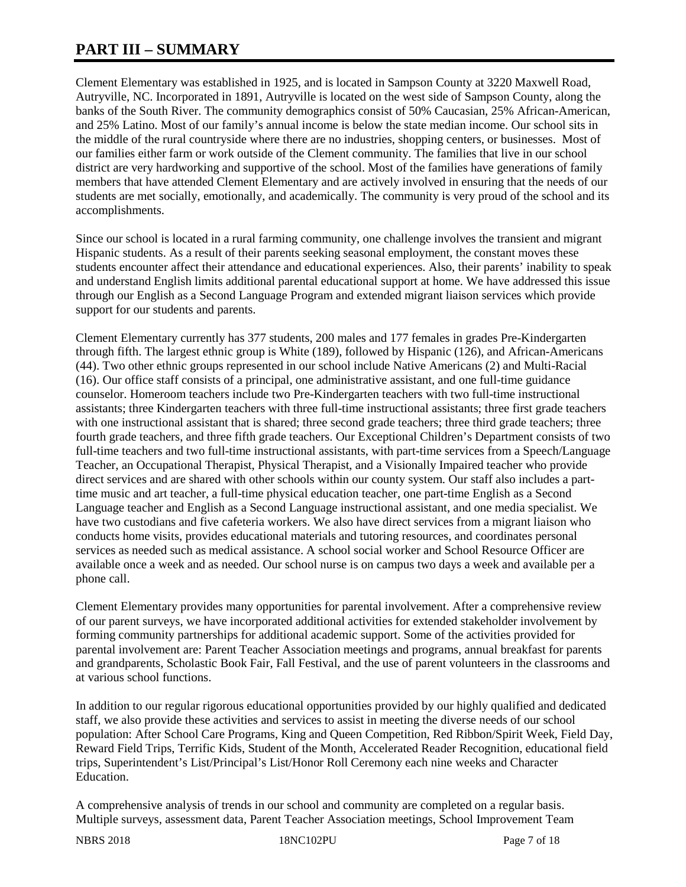# **PART III – SUMMARY**

Clement Elementary was established in 1925, and is located in Sampson County at 3220 Maxwell Road, Autryville, NC. Incorporated in 1891, Autryville is located on the west side of Sampson County, along the banks of the South River. The community demographics consist of 50% Caucasian, 25% African-American, and 25% Latino. Most of our family's annual income is below the state median income. Our school sits in the middle of the rural countryside where there are no industries, shopping centers, or businesses. Most of our families either farm or work outside of the Clement community. The families that live in our school district are very hardworking and supportive of the school. Most of the families have generations of family members that have attended Clement Elementary and are actively involved in ensuring that the needs of our students are met socially, emotionally, and academically. The community is very proud of the school and its accomplishments.

Since our school is located in a rural farming community, one challenge involves the transient and migrant Hispanic students. As a result of their parents seeking seasonal employment, the constant moves these students encounter affect their attendance and educational experiences. Also, their parents' inability to speak and understand English limits additional parental educational support at home. We have addressed this issue through our English as a Second Language Program and extended migrant liaison services which provide support for our students and parents.

Clement Elementary currently has 377 students, 200 males and 177 females in grades Pre-Kindergarten through fifth. The largest ethnic group is White (189), followed by Hispanic (126), and African-Americans (44). Two other ethnic groups represented in our school include Native Americans (2) and Multi-Racial (16). Our office staff consists of a principal, one administrative assistant, and one full-time guidance counselor. Homeroom teachers include two Pre-Kindergarten teachers with two full-time instructional assistants; three Kindergarten teachers with three full-time instructional assistants; three first grade teachers with one instructional assistant that is shared; three second grade teachers; three third grade teachers; three fourth grade teachers, and three fifth grade teachers. Our Exceptional Children's Department consists of two full-time teachers and two full-time instructional assistants, with part-time services from a Speech/Language Teacher, an Occupational Therapist, Physical Therapist, and a Visionally Impaired teacher who provide direct services and are shared with other schools within our county system. Our staff also includes a parttime music and art teacher, a full-time physical education teacher, one part-time English as a Second Language teacher and English as a Second Language instructional assistant, and one media specialist. We have two custodians and five cafeteria workers. We also have direct services from a migrant liaison who conducts home visits, provides educational materials and tutoring resources, and coordinates personal services as needed such as medical assistance. A school social worker and School Resource Officer are available once a week and as needed. Our school nurse is on campus two days a week and available per a phone call.

Clement Elementary provides many opportunities for parental involvement. After a comprehensive review of our parent surveys, we have incorporated additional activities for extended stakeholder involvement by forming community partnerships for additional academic support. Some of the activities provided for parental involvement are: Parent Teacher Association meetings and programs, annual breakfast for parents and grandparents, Scholastic Book Fair, Fall Festival, and the use of parent volunteers in the classrooms and at various school functions.

In addition to our regular rigorous educational opportunities provided by our highly qualified and dedicated staff, we also provide these activities and services to assist in meeting the diverse needs of our school population: After School Care Programs, King and Queen Competition, Red Ribbon/Spirit Week, Field Day, Reward Field Trips, Terrific Kids, Student of the Month, Accelerated Reader Recognition, educational field trips, Superintendent's List/Principal's List/Honor Roll Ceremony each nine weeks and Character Education.

A comprehensive analysis of trends in our school and community are completed on a regular basis. Multiple surveys, assessment data, Parent Teacher Association meetings, School Improvement Team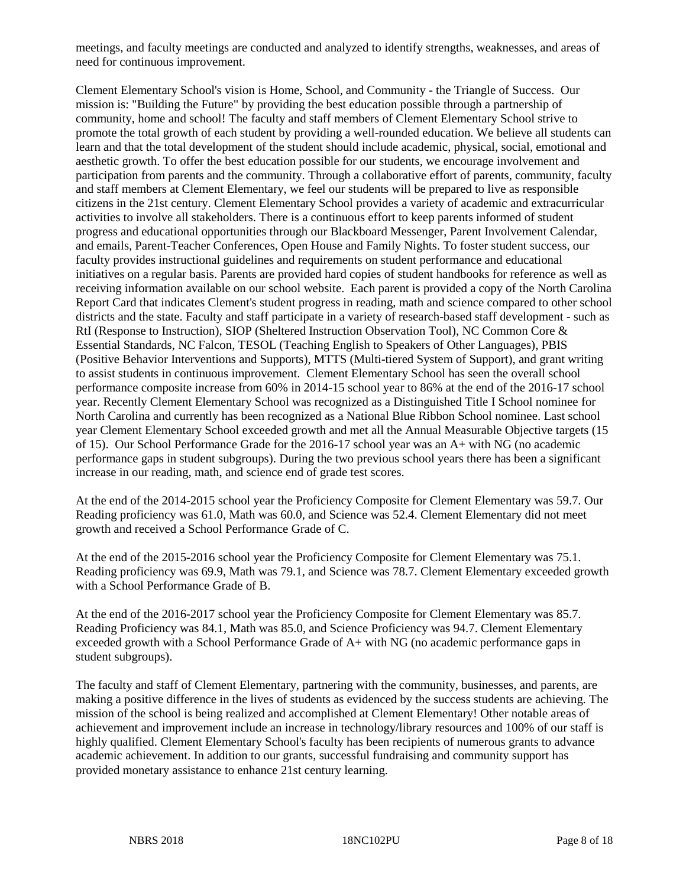meetings, and faculty meetings are conducted and analyzed to identify strengths, weaknesses, and areas of need for continuous improvement.

Clement Elementary School's vision is Home, School, and Community - the Triangle of Success. Our mission is: "Building the Future" by providing the best education possible through a partnership of community, home and school! The faculty and staff members of Clement Elementary School strive to promote the total growth of each student by providing a well-rounded education. We believe all students can learn and that the total development of the student should include academic, physical, social, emotional and aesthetic growth. To offer the best education possible for our students, we encourage involvement and participation from parents and the community. Through a collaborative effort of parents, community, faculty and staff members at Clement Elementary, we feel our students will be prepared to live as responsible citizens in the 21st century. Clement Elementary School provides a variety of academic and extracurricular activities to involve all stakeholders. There is a continuous effort to keep parents informed of student progress and educational opportunities through our Blackboard Messenger, Parent Involvement Calendar, and emails, Parent-Teacher Conferences, Open House and Family Nights. To foster student success, our faculty provides instructional guidelines and requirements on student performance and educational initiatives on a regular basis. Parents are provided hard copies of student handbooks for reference as well as receiving information available on our school website. Each parent is provided a copy of the North Carolina Report Card that indicates Clement's student progress in reading, math and science compared to other school districts and the state. Faculty and staff participate in a variety of research-based staff development - such as RtI (Response to Instruction), SIOP (Sheltered Instruction Observation Tool), NC Common Core & Essential Standards, NC Falcon, TESOL (Teaching English to Speakers of Other Languages), PBIS (Positive Behavior Interventions and Supports), MTTS (Multi-tiered System of Support), and grant writing to assist students in continuous improvement. Clement Elementary School has seen the overall school performance composite increase from 60% in 2014-15 school year to 86% at the end of the 2016-17 school year. Recently Clement Elementary School was recognized as a Distinguished Title I School nominee for North Carolina and currently has been recognized as a National Blue Ribbon School nominee. Last school year Clement Elementary School exceeded growth and met all the Annual Measurable Objective targets (15 of 15). Our School Performance Grade for the 2016-17 school year was an A+ with NG (no academic performance gaps in student subgroups). During the two previous school years there has been a significant increase in our reading, math, and science end of grade test scores.

At the end of the 2014-2015 school year the Proficiency Composite for Clement Elementary was 59.7. Our Reading proficiency was 61.0, Math was 60.0, and Science was 52.4. Clement Elementary did not meet growth and received a School Performance Grade of C.

At the end of the 2015-2016 school year the Proficiency Composite for Clement Elementary was 75.1. Reading proficiency was 69.9, Math was 79.1, and Science was 78.7. Clement Elementary exceeded growth with a School Performance Grade of B.

At the end of the 2016-2017 school year the Proficiency Composite for Clement Elementary was 85.7. Reading Proficiency was 84.1, Math was 85.0, and Science Proficiency was 94.7. Clement Elementary exceeded growth with a School Performance Grade of A+ with NG (no academic performance gaps in student subgroups).

The faculty and staff of Clement Elementary, partnering with the community, businesses, and parents, are making a positive difference in the lives of students as evidenced by the success students are achieving. The mission of the school is being realized and accomplished at Clement Elementary! Other notable areas of achievement and improvement include an increase in technology/library resources and 100% of our staff is highly qualified. Clement Elementary School's faculty has been recipients of numerous grants to advance academic achievement. In addition to our grants, successful fundraising and community support has provided monetary assistance to enhance 21st century learning.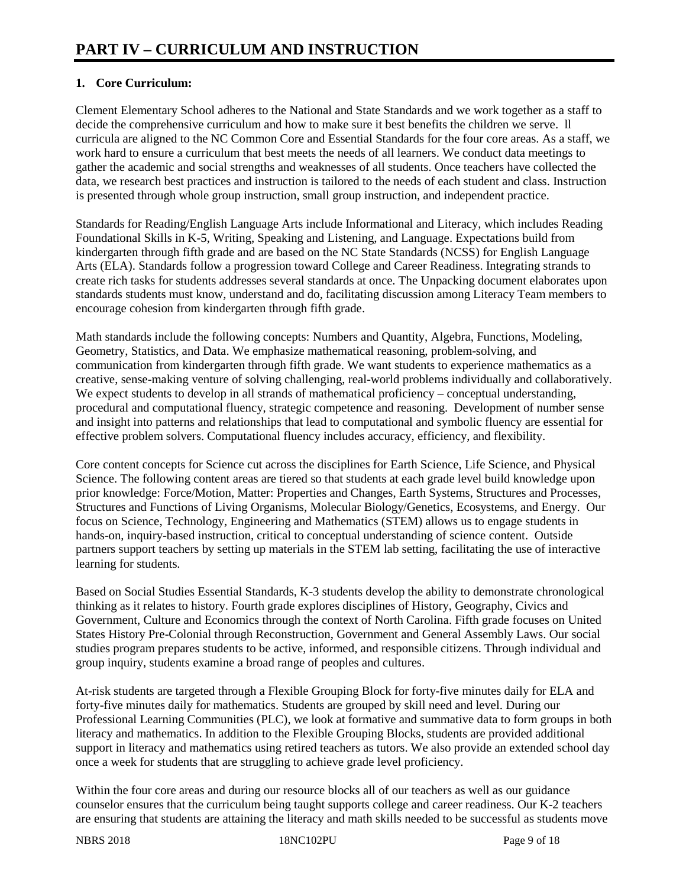# **1. Core Curriculum:**

Clement Elementary School adheres to the National and State Standards and we work together as a staff to decide the comprehensive curriculum and how to make sure it best benefits the children we serve. ll curricula are aligned to the NC Common Core and Essential Standards for the four core areas. As a staff, we work hard to ensure a curriculum that best meets the needs of all learners. We conduct data meetings to gather the academic and social strengths and weaknesses of all students. Once teachers have collected the data, we research best practices and instruction is tailored to the needs of each student and class. Instruction is presented through whole group instruction, small group instruction, and independent practice.

Standards for Reading/English Language Arts include Informational and Literacy, which includes Reading Foundational Skills in K-5, Writing, Speaking and Listening, and Language. Expectations build from kindergarten through fifth grade and are based on the NC State Standards (NCSS) for English Language Arts (ELA). Standards follow a progression toward College and Career Readiness. Integrating strands to create rich tasks for students addresses several standards at once. The Unpacking document elaborates upon standards students must know, understand and do, facilitating discussion among Literacy Team members to encourage cohesion from kindergarten through fifth grade.

Math standards include the following concepts: Numbers and Quantity, Algebra, Functions, Modeling, Geometry, Statistics, and Data. We emphasize mathematical reasoning, problem-solving, and communication from kindergarten through fifth grade. We want students to experience mathematics as a creative, sense-making venture of solving challenging, real-world problems individually and collaboratively. We expect students to develop in all strands of mathematical proficiency – conceptual understanding, procedural and computational fluency, strategic competence and reasoning. Development of number sense and insight into patterns and relationships that lead to computational and symbolic fluency are essential for effective problem solvers. Computational fluency includes accuracy, efficiency, and flexibility.

Core content concepts for Science cut across the disciplines for Earth Science, Life Science, and Physical Science. The following content areas are tiered so that students at each grade level build knowledge upon prior knowledge: Force/Motion, Matter: Properties and Changes, Earth Systems, Structures and Processes, Structures and Functions of Living Organisms, Molecular Biology/Genetics, Ecosystems, and Energy. Our focus on Science, Technology, Engineering and Mathematics (STEM) allows us to engage students in hands-on, inquiry-based instruction, critical to conceptual understanding of science content. Outside partners support teachers by setting up materials in the STEM lab setting, facilitating the use of interactive learning for students.

Based on Social Studies Essential Standards, K-3 students develop the ability to demonstrate chronological thinking as it relates to history. Fourth grade explores disciplines of History, Geography, Civics and Government, Culture and Economics through the context of North Carolina. Fifth grade focuses on United States History Pre-Colonial through Reconstruction, Government and General Assembly Laws. Our social studies program prepares students to be active, informed, and responsible citizens. Through individual and group inquiry, students examine a broad range of peoples and cultures.

At-risk students are targeted through a Flexible Grouping Block for forty-five minutes daily for ELA and forty-five minutes daily for mathematics. Students are grouped by skill need and level. During our Professional Learning Communities (PLC), we look at formative and summative data to form groups in both literacy and mathematics. In addition to the Flexible Grouping Blocks, students are provided additional support in literacy and mathematics using retired teachers as tutors. We also provide an extended school day once a week for students that are struggling to achieve grade level proficiency.

Within the four core areas and during our resource blocks all of our teachers as well as our guidance counselor ensures that the curriculum being taught supports college and career readiness. Our K-2 teachers are ensuring that students are attaining the literacy and math skills needed to be successful as students move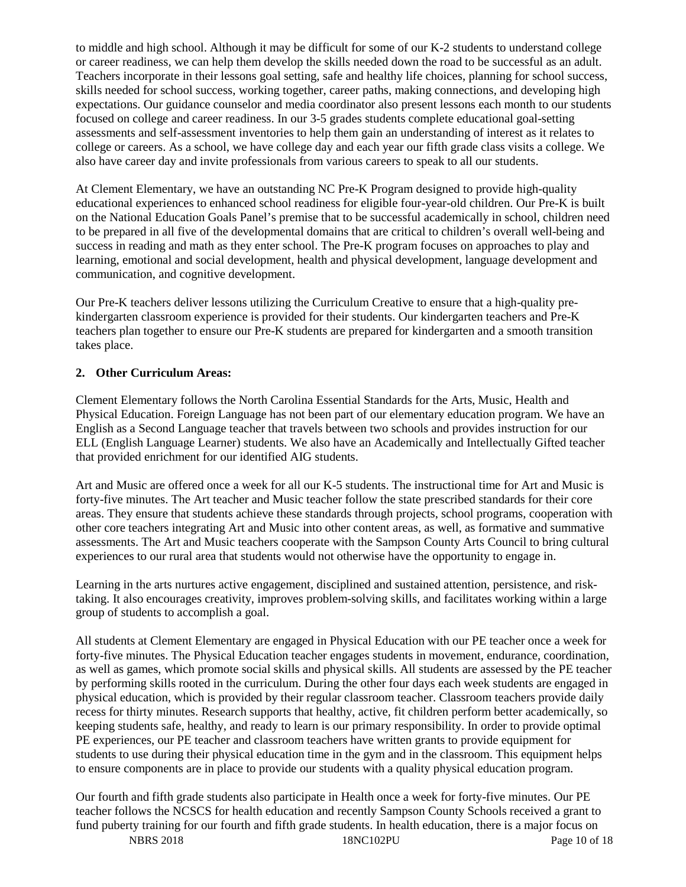to middle and high school. Although it may be difficult for some of our K-2 students to understand college or career readiness, we can help them develop the skills needed down the road to be successful as an adult. Teachers incorporate in their lessons goal setting, safe and healthy life choices, planning for school success, skills needed for school success, working together, career paths, making connections, and developing high expectations. Our guidance counselor and media coordinator also present lessons each month to our students focused on college and career readiness. In our 3-5 grades students complete educational goal-setting assessments and self-assessment inventories to help them gain an understanding of interest as it relates to college or careers. As a school, we have college day and each year our fifth grade class visits a college. We also have career day and invite professionals from various careers to speak to all our students.

At Clement Elementary, we have an outstanding NC Pre-K Program designed to provide high-quality educational experiences to enhanced school readiness for eligible four-year-old children. Our Pre-K is built on the National Education Goals Panel's premise that to be successful academically in school, children need to be prepared in all five of the developmental domains that are critical to children's overall well-being and success in reading and math as they enter school. The Pre-K program focuses on approaches to play and learning, emotional and social development, health and physical development, language development and communication, and cognitive development.

Our Pre-K teachers deliver lessons utilizing the Curriculum Creative to ensure that a high-quality prekindergarten classroom experience is provided for their students. Our kindergarten teachers and Pre-K teachers plan together to ensure our Pre-K students are prepared for kindergarten and a smooth transition takes place.

# **2. Other Curriculum Areas:**

Clement Elementary follows the North Carolina Essential Standards for the Arts, Music, Health and Physical Education. Foreign Language has not been part of our elementary education program. We have an English as a Second Language teacher that travels between two schools and provides instruction for our ELL (English Language Learner) students. We also have an Academically and Intellectually Gifted teacher that provided enrichment for our identified AIG students.

Art and Music are offered once a week for all our K-5 students. The instructional time for Art and Music is forty-five minutes. The Art teacher and Music teacher follow the state prescribed standards for their core areas. They ensure that students achieve these standards through projects, school programs, cooperation with other core teachers integrating Art and Music into other content areas, as well, as formative and summative assessments. The Art and Music teachers cooperate with the Sampson County Arts Council to bring cultural experiences to our rural area that students would not otherwise have the opportunity to engage in.

Learning in the arts nurtures active engagement, disciplined and sustained attention, persistence, and risktaking. It also encourages creativity, improves problem-solving skills, and facilitates working within a large group of students to accomplish a goal.

All students at Clement Elementary are engaged in Physical Education with our PE teacher once a week for forty-five minutes. The Physical Education teacher engages students in movement, endurance, coordination, as well as games, which promote social skills and physical skills. All students are assessed by the PE teacher by performing skills rooted in the curriculum. During the other four days each week students are engaged in physical education, which is provided by their regular classroom teacher. Classroom teachers provide daily recess for thirty minutes. Research supports that healthy, active, fit children perform better academically, so keeping students safe, healthy, and ready to learn is our primary responsibility. In order to provide optimal PE experiences, our PE teacher and classroom teachers have written grants to provide equipment for students to use during their physical education time in the gym and in the classroom. This equipment helps to ensure components are in place to provide our students with a quality physical education program.

Our fourth and fifth grade students also participate in Health once a week for forty-five minutes. Our PE teacher follows the NCSCS for health education and recently Sampson County Schools received a grant to fund puberty training for our fourth and fifth grade students. In health education, there is a major focus on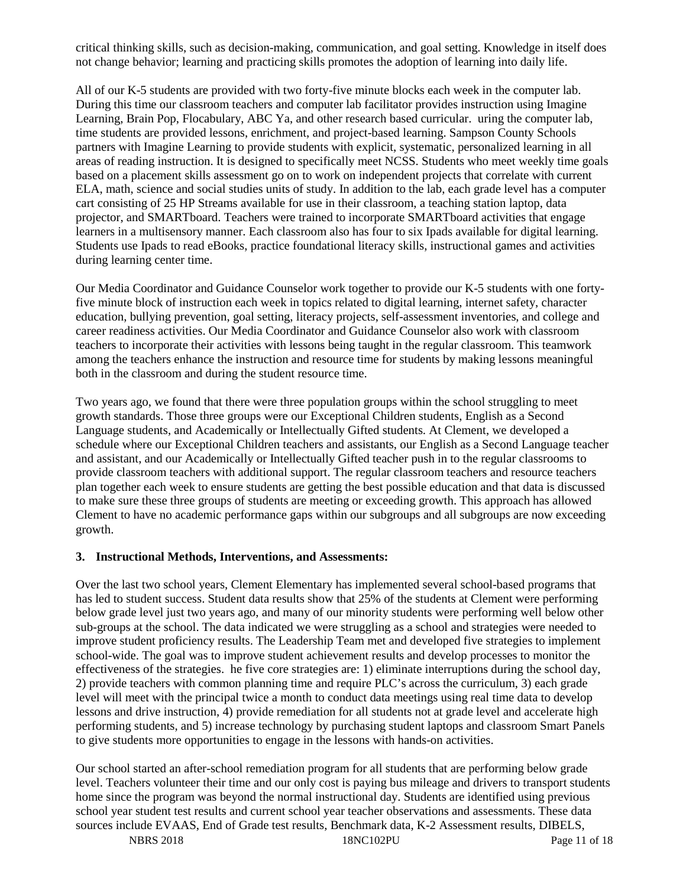critical thinking skills, such as decision-making, communication, and goal setting. Knowledge in itself does not change behavior; learning and practicing skills promotes the adoption of learning into daily life.

All of our K-5 students are provided with two forty-five minute blocks each week in the computer lab. During this time our classroom teachers and computer lab facilitator provides instruction using Imagine Learning, Brain Pop, Flocabulary, ABC Ya, and other research based curricular. uring the computer lab, time students are provided lessons, enrichment, and project-based learning. Sampson County Schools partners with Imagine Learning to provide students with explicit, systematic, personalized learning in all areas of reading instruction. It is designed to specifically meet NCSS. Students who meet weekly time goals based on a placement skills assessment go on to work on independent projects that correlate with current ELA, math, science and social studies units of study. In addition to the lab, each grade level has a computer cart consisting of 25 HP Streams available for use in their classroom, a teaching station laptop, data projector, and SMARTboard. Teachers were trained to incorporate SMARTboard activities that engage learners in a multisensory manner. Each classroom also has four to six Ipads available for digital learning. Students use Ipads to read eBooks, practice foundational literacy skills, instructional games and activities during learning center time.

Our Media Coordinator and Guidance Counselor work together to provide our K-5 students with one fortyfive minute block of instruction each week in topics related to digital learning, internet safety, character education, bullying prevention, goal setting, literacy projects, self-assessment inventories, and college and career readiness activities. Our Media Coordinator and Guidance Counselor also work with classroom teachers to incorporate their activities with lessons being taught in the regular classroom. This teamwork among the teachers enhance the instruction and resource time for students by making lessons meaningful both in the classroom and during the student resource time.

Two years ago, we found that there were three population groups within the school struggling to meet growth standards. Those three groups were our Exceptional Children students, English as a Second Language students, and Academically or Intellectually Gifted students. At Clement, we developed a schedule where our Exceptional Children teachers and assistants, our English as a Second Language teacher and assistant, and our Academically or Intellectually Gifted teacher push in to the regular classrooms to provide classroom teachers with additional support. The regular classroom teachers and resource teachers plan together each week to ensure students are getting the best possible education and that data is discussed to make sure these three groups of students are meeting or exceeding growth. This approach has allowed Clement to have no academic performance gaps within our subgroups and all subgroups are now exceeding growth.

## **3. Instructional Methods, Interventions, and Assessments:**

Over the last two school years, Clement Elementary has implemented several school-based programs that has led to student success. Student data results show that 25% of the students at Clement were performing below grade level just two years ago, and many of our minority students were performing well below other sub-groups at the school. The data indicated we were struggling as a school and strategies were needed to improve student proficiency results. The Leadership Team met and developed five strategies to implement school-wide. The goal was to improve student achievement results and develop processes to monitor the effectiveness of the strategies. he five core strategies are: 1) eliminate interruptions during the school day, 2) provide teachers with common planning time and require PLC's across the curriculum, 3) each grade level will meet with the principal twice a month to conduct data meetings using real time data to develop lessons and drive instruction, 4) provide remediation for all students not at grade level and accelerate high performing students, and 5) increase technology by purchasing student laptops and classroom Smart Panels to give students more opportunities to engage in the lessons with hands-on activities.

Our school started an after-school remediation program for all students that are performing below grade level. Teachers volunteer their time and our only cost is paying bus mileage and drivers to transport students home since the program was beyond the normal instructional day. Students are identified using previous school year student test results and current school year teacher observations and assessments. These data sources include EVAAS, End of Grade test results, Benchmark data, K-2 Assessment results, DIBELS,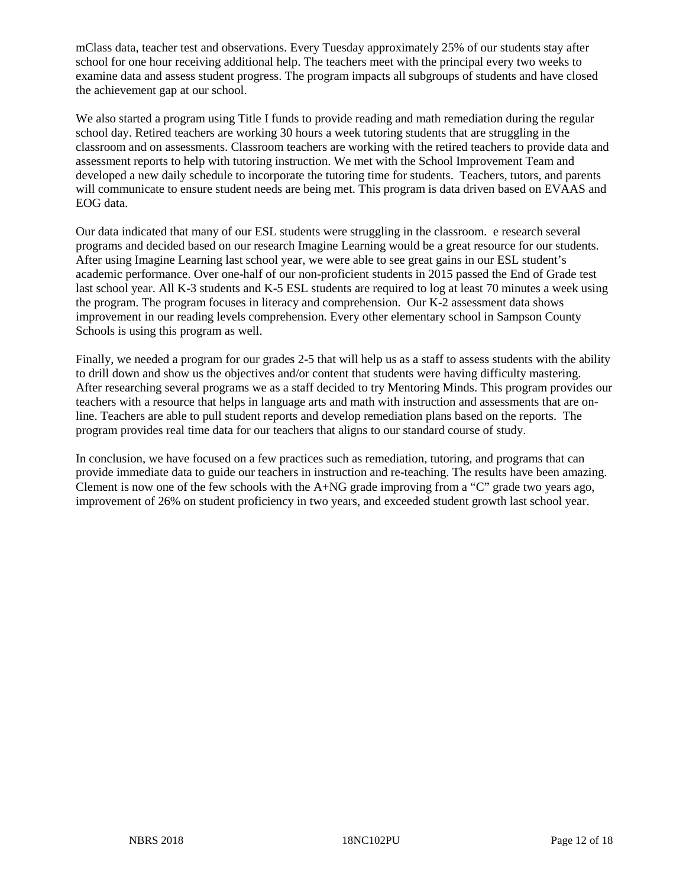mClass data, teacher test and observations. Every Tuesday approximately 25% of our students stay after school for one hour receiving additional help. The teachers meet with the principal every two weeks to examine data and assess student progress. The program impacts all subgroups of students and have closed the achievement gap at our school.

We also started a program using Title I funds to provide reading and math remediation during the regular school day. Retired teachers are working 30 hours a week tutoring students that are struggling in the classroom and on assessments. Classroom teachers are working with the retired teachers to provide data and assessment reports to help with tutoring instruction. We met with the School Improvement Team and developed a new daily schedule to incorporate the tutoring time for students. Teachers, tutors, and parents will communicate to ensure student needs are being met. This program is data driven based on EVAAS and EOG data.

Our data indicated that many of our ESL students were struggling in the classroom. e research several programs and decided based on our research Imagine Learning would be a great resource for our students. After using Imagine Learning last school year, we were able to see great gains in our ESL student's academic performance. Over one-half of our non-proficient students in 2015 passed the End of Grade test last school year. All K-3 students and K-5 ESL students are required to log at least 70 minutes a week using the program. The program focuses in literacy and comprehension. Our K-2 assessment data shows improvement in our reading levels comprehension. Every other elementary school in Sampson County Schools is using this program as well.

Finally, we needed a program for our grades 2-5 that will help us as a staff to assess students with the ability to drill down and show us the objectives and/or content that students were having difficulty mastering. After researching several programs we as a staff decided to try Mentoring Minds. This program provides our teachers with a resource that helps in language arts and math with instruction and assessments that are online. Teachers are able to pull student reports and develop remediation plans based on the reports. The program provides real time data for our teachers that aligns to our standard course of study.

In conclusion, we have focused on a few practices such as remediation, tutoring, and programs that can provide immediate data to guide our teachers in instruction and re-teaching. The results have been amazing. Clement is now one of the few schools with the  $A+NG$  grade improving from a "C" grade two years ago, improvement of 26% on student proficiency in two years, and exceeded student growth last school year.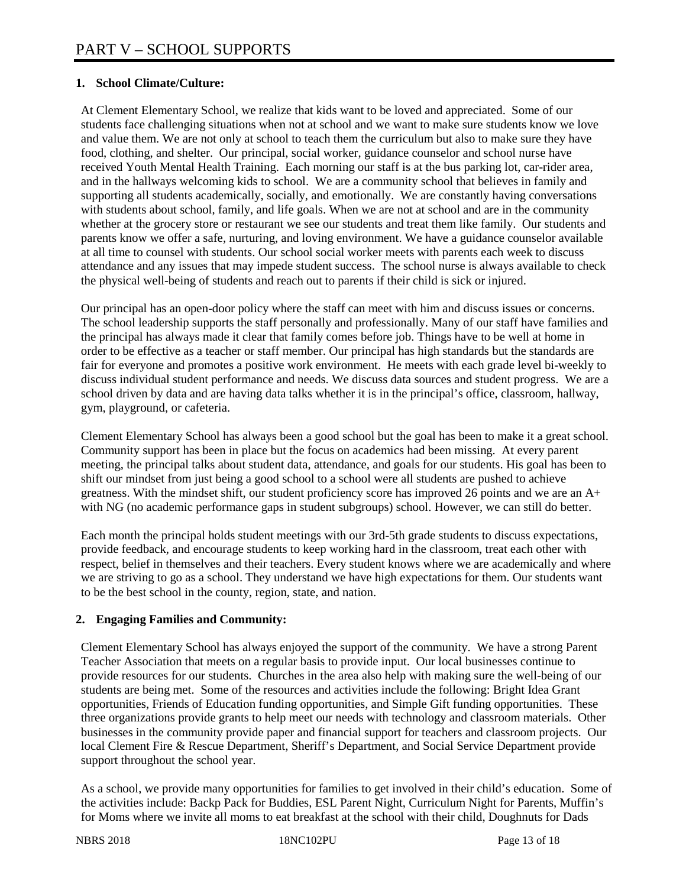# **1. School Climate/Culture:**

At Clement Elementary School, we realize that kids want to be loved and appreciated. Some of our students face challenging situations when not at school and we want to make sure students know we love and value them. We are not only at school to teach them the curriculum but also to make sure they have food, clothing, and shelter. Our principal, social worker, guidance counselor and school nurse have received Youth Mental Health Training. Each morning our staff is at the bus parking lot, car-rider area, and in the hallways welcoming kids to school. We are a community school that believes in family and supporting all students academically, socially, and emotionally. We are constantly having conversations with students about school, family, and life goals. When we are not at school and are in the community whether at the grocery store or restaurant we see our students and treat them like family. Our students and parents know we offer a safe, nurturing, and loving environment. We have a guidance counselor available at all time to counsel with students. Our school social worker meets with parents each week to discuss attendance and any issues that may impede student success. The school nurse is always available to check the physical well-being of students and reach out to parents if their child is sick or injured.

Our principal has an open-door policy where the staff can meet with him and discuss issues or concerns. The school leadership supports the staff personally and professionally. Many of our staff have families and the principal has always made it clear that family comes before job. Things have to be well at home in order to be effective as a teacher or staff member. Our principal has high standards but the standards are fair for everyone and promotes a positive work environment. He meets with each grade level bi-weekly to discuss individual student performance and needs. We discuss data sources and student progress. We are a school driven by data and are having data talks whether it is in the principal's office, classroom, hallway, gym, playground, or cafeteria.

Clement Elementary School has always been a good school but the goal has been to make it a great school. Community support has been in place but the focus on academics had been missing. At every parent meeting, the principal talks about student data, attendance, and goals for our students. His goal has been to shift our mindset from just being a good school to a school were all students are pushed to achieve greatness. With the mindset shift, our student proficiency score has improved 26 points and we are an A+ with NG (no academic performance gaps in student subgroups) school. However, we can still do better.

Each month the principal holds student meetings with our 3rd-5th grade students to discuss expectations, provide feedback, and encourage students to keep working hard in the classroom, treat each other with respect, belief in themselves and their teachers. Every student knows where we are academically and where we are striving to go as a school. They understand we have high expectations for them. Our students want to be the best school in the county, region, state, and nation.

# **2. Engaging Families and Community:**

Clement Elementary School has always enjoyed the support of the community. We have a strong Parent Teacher Association that meets on a regular basis to provide input. Our local businesses continue to provide resources for our students. Churches in the area also help with making sure the well-being of our students are being met. Some of the resources and activities include the following: Bright Idea Grant opportunities, Friends of Education funding opportunities, and Simple Gift funding opportunities. These three organizations provide grants to help meet our needs with technology and classroom materials. Other businesses in the community provide paper and financial support for teachers and classroom projects. Our local Clement Fire & Rescue Department, Sheriff's Department, and Social Service Department provide support throughout the school year.

As a school, we provide many opportunities for families to get involved in their child's education. Some of the activities include: Backp Pack for Buddies, ESL Parent Night, Curriculum Night for Parents, Muffin's for Moms where we invite all moms to eat breakfast at the school with their child, Doughnuts for Dads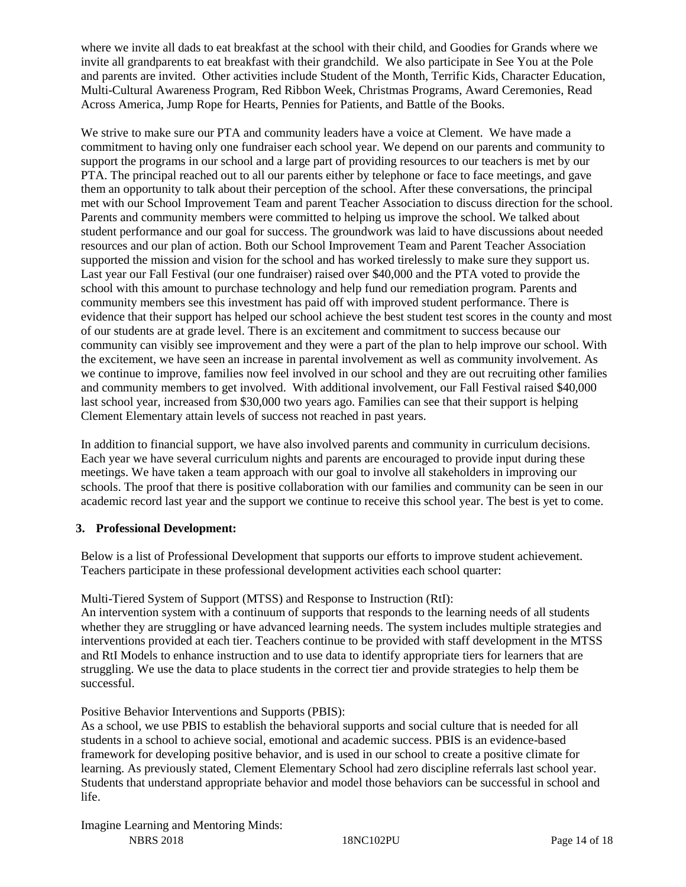where we invite all dads to eat breakfast at the school with their child, and Goodies for Grands where we invite all grandparents to eat breakfast with their grandchild. We also participate in See You at the Pole and parents are invited. Other activities include Student of the Month, Terrific Kids, Character Education, Multi-Cultural Awareness Program, Red Ribbon Week, Christmas Programs, Award Ceremonies, Read Across America, Jump Rope for Hearts, Pennies for Patients, and Battle of the Books.

We strive to make sure our PTA and community leaders have a voice at Clement. We have made a commitment to having only one fundraiser each school year. We depend on our parents and community to support the programs in our school and a large part of providing resources to our teachers is met by our PTA. The principal reached out to all our parents either by telephone or face to face meetings, and gave them an opportunity to talk about their perception of the school. After these conversations, the principal met with our School Improvement Team and parent Teacher Association to discuss direction for the school. Parents and community members were committed to helping us improve the school. We talked about student performance and our goal for success. The groundwork was laid to have discussions about needed resources and our plan of action. Both our School Improvement Team and Parent Teacher Association supported the mission and vision for the school and has worked tirelessly to make sure they support us. Last year our Fall Festival (our one fundraiser) raised over \$40,000 and the PTA voted to provide the school with this amount to purchase technology and help fund our remediation program. Parents and community members see this investment has paid off with improved student performance. There is evidence that their support has helped our school achieve the best student test scores in the county and most of our students are at grade level. There is an excitement and commitment to success because our community can visibly see improvement and they were a part of the plan to help improve our school. With the excitement, we have seen an increase in parental involvement as well as community involvement. As we continue to improve, families now feel involved in our school and they are out recruiting other families and community members to get involved. With additional involvement, our Fall Festival raised \$40,000 last school year, increased from \$30,000 two years ago. Families can see that their support is helping Clement Elementary attain levels of success not reached in past years.

In addition to financial support, we have also involved parents and community in curriculum decisions. Each year we have several curriculum nights and parents are encouraged to provide input during these meetings. We have taken a team approach with our goal to involve all stakeholders in improving our schools. The proof that there is positive collaboration with our families and community can be seen in our academic record last year and the support we continue to receive this school year. The best is yet to come.

## **3. Professional Development:**

Below is a list of Professional Development that supports our efforts to improve student achievement. Teachers participate in these professional development activities each school quarter:

# Multi-Tiered System of Support (MTSS) and Response to Instruction (RtI):

An intervention system with a continuum of supports that responds to the learning needs of all students whether they are struggling or have advanced learning needs. The system includes multiple strategies and interventions provided at each tier. Teachers continue to be provided with staff development in the MTSS and RtI Models to enhance instruction and to use data to identify appropriate tiers for learners that are struggling. We use the data to place students in the correct tier and provide strategies to help them be successful.

## Positive Behavior Interventions and Supports (PBIS):

As a school, we use PBIS to establish the behavioral supports and social culture that is needed for all students in a school to achieve social, emotional and academic success. PBIS is an evidence-based framework for developing positive behavior, and is used in our school to create a positive climate for learning. As previously stated, Clement Elementary School had zero discipline referrals last school year. Students that understand appropriate behavior and model those behaviors can be successful in school and life.

NBRS 2018 18NC102PU Page 14 of 18 Imagine Learning and Mentoring Minds: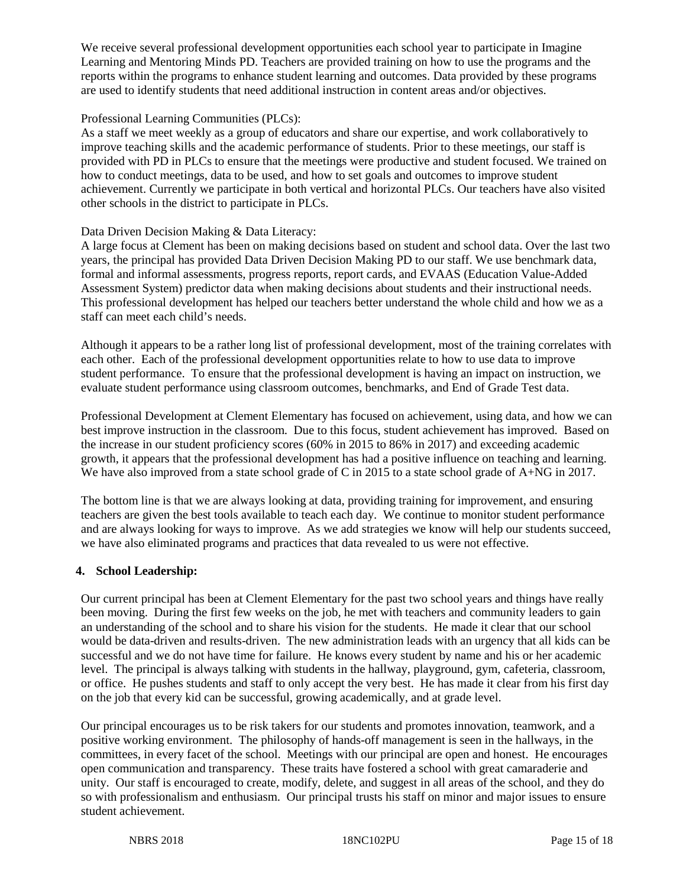We receive several professional development opportunities each school year to participate in Imagine Learning and Mentoring Minds PD. Teachers are provided training on how to use the programs and the reports within the programs to enhance student learning and outcomes. Data provided by these programs are used to identify students that need additional instruction in content areas and/or objectives.

## Professional Learning Communities (PLCs):

As a staff we meet weekly as a group of educators and share our expertise, and work collaboratively to improve teaching skills and the academic performance of students. Prior to these meetings, our staff is provided with PD in PLCs to ensure that the meetings were productive and student focused. We trained on how to conduct meetings, data to be used, and how to set goals and outcomes to improve student achievement. Currently we participate in both vertical and horizontal PLCs. Our teachers have also visited other schools in the district to participate in PLCs.

## Data Driven Decision Making & Data Literacy:

A large focus at Clement has been on making decisions based on student and school data. Over the last two years, the principal has provided Data Driven Decision Making PD to our staff. We use benchmark data, formal and informal assessments, progress reports, report cards, and EVAAS (Education Value-Added Assessment System) predictor data when making decisions about students and their instructional needs. This professional development has helped our teachers better understand the whole child and how we as a staff can meet each child's needs.

Although it appears to be a rather long list of professional development, most of the training correlates with each other. Each of the professional development opportunities relate to how to use data to improve student performance. To ensure that the professional development is having an impact on instruction, we evaluate student performance using classroom outcomes, benchmarks, and End of Grade Test data.

Professional Development at Clement Elementary has focused on achievement, using data, and how we can best improve instruction in the classroom. Due to this focus, student achievement has improved. Based on the increase in our student proficiency scores (60% in 2015 to 86% in 2017) and exceeding academic growth, it appears that the professional development has had a positive influence on teaching and learning. We have also improved from a state school grade of C in 2015 to a state school grade of A+NG in 2017.

The bottom line is that we are always looking at data, providing training for improvement, and ensuring teachers are given the best tools available to teach each day. We continue to monitor student performance and are always looking for ways to improve. As we add strategies we know will help our students succeed, we have also eliminated programs and practices that data revealed to us were not effective.

## **4. School Leadership:**

Our current principal has been at Clement Elementary for the past two school years and things have really been moving. During the first few weeks on the job, he met with teachers and community leaders to gain an understanding of the school and to share his vision for the students. He made it clear that our school would be data-driven and results-driven. The new administration leads with an urgency that all kids can be successful and we do not have time for failure. He knows every student by name and his or her academic level. The principal is always talking with students in the hallway, playground, gym, cafeteria, classroom, or office. He pushes students and staff to only accept the very best. He has made it clear from his first day on the job that every kid can be successful, growing academically, and at grade level.

Our principal encourages us to be risk takers for our students and promotes innovation, teamwork, and a positive working environment. The philosophy of hands-off management is seen in the hallways, in the committees, in every facet of the school. Meetings with our principal are open and honest. He encourages open communication and transparency. These traits have fostered a school with great camaraderie and unity. Our staff is encouraged to create, modify, delete, and suggest in all areas of the school, and they do so with professionalism and enthusiasm. Our principal trusts his staff on minor and major issues to ensure student achievement.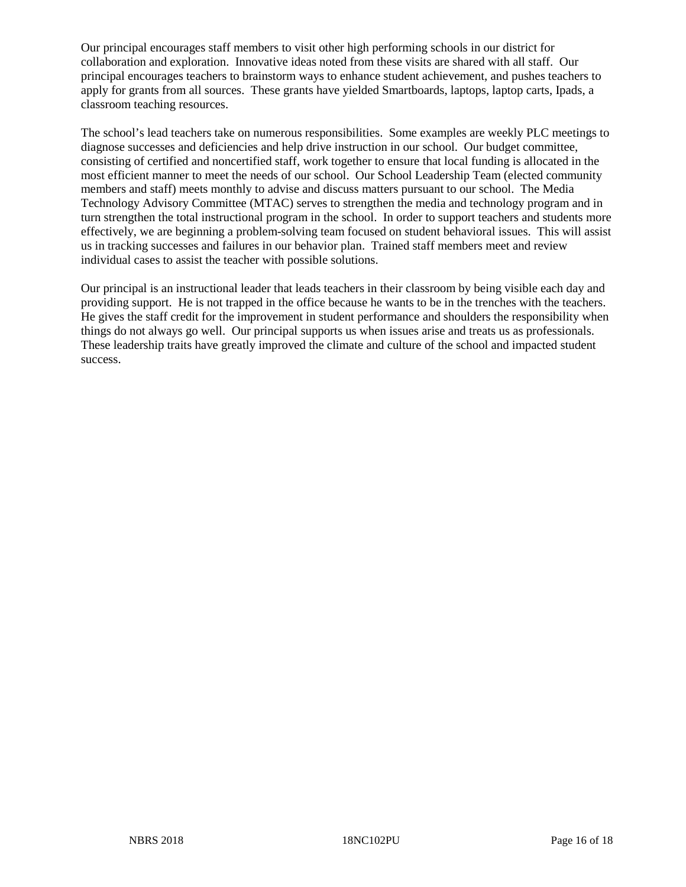Our principal encourages staff members to visit other high performing schools in our district for collaboration and exploration. Innovative ideas noted from these visits are shared with all staff. Our principal encourages teachers to brainstorm ways to enhance student achievement, and pushes teachers to apply for grants from all sources. These grants have yielded Smartboards, laptops, laptop carts, Ipads, a classroom teaching resources.

The school's lead teachers take on numerous responsibilities. Some examples are weekly PLC meetings to diagnose successes and deficiencies and help drive instruction in our school. Our budget committee, consisting of certified and noncertified staff, work together to ensure that local funding is allocated in the most efficient manner to meet the needs of our school. Our School Leadership Team (elected community members and staff) meets monthly to advise and discuss matters pursuant to our school. The Media Technology Advisory Committee (MTAC) serves to strengthen the media and technology program and in turn strengthen the total instructional program in the school. In order to support teachers and students more effectively, we are beginning a problem-solving team focused on student behavioral issues. This will assist us in tracking successes and failures in our behavior plan. Trained staff members meet and review individual cases to assist the teacher with possible solutions.

Our principal is an instructional leader that leads teachers in their classroom by being visible each day and providing support. He is not trapped in the office because he wants to be in the trenches with the teachers. He gives the staff credit for the improvement in student performance and shoulders the responsibility when things do not always go well. Our principal supports us when issues arise and treats us as professionals. These leadership traits have greatly improved the climate and culture of the school and impacted student success.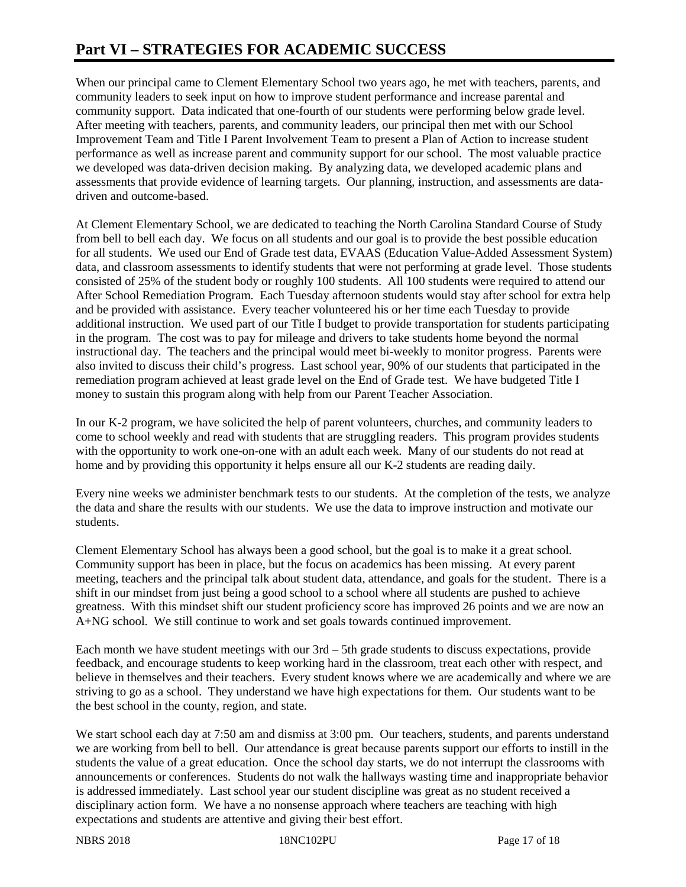# **Part VI – STRATEGIES FOR ACADEMIC SUCCESS**

When our principal came to Clement Elementary School two years ago, he met with teachers, parents, and community leaders to seek input on how to improve student performance and increase parental and community support. Data indicated that one-fourth of our students were performing below grade level. After meeting with teachers, parents, and community leaders, our principal then met with our School Improvement Team and Title I Parent Involvement Team to present a Plan of Action to increase student performance as well as increase parent and community support for our school. The most valuable practice we developed was data-driven decision making. By analyzing data, we developed academic plans and assessments that provide evidence of learning targets. Our planning, instruction, and assessments are datadriven and outcome-based.

At Clement Elementary School, we are dedicated to teaching the North Carolina Standard Course of Study from bell to bell each day. We focus on all students and our goal is to provide the best possible education for all students. We used our End of Grade test data, EVAAS (Education Value-Added Assessment System) data, and classroom assessments to identify students that were not performing at grade level. Those students consisted of 25% of the student body or roughly 100 students. All 100 students were required to attend our After School Remediation Program. Each Tuesday afternoon students would stay after school for extra help and be provided with assistance. Every teacher volunteered his or her time each Tuesday to provide additional instruction. We used part of our Title I budget to provide transportation for students participating in the program. The cost was to pay for mileage and drivers to take students home beyond the normal instructional day. The teachers and the principal would meet bi-weekly to monitor progress. Parents were also invited to discuss their child's progress. Last school year, 90% of our students that participated in the remediation program achieved at least grade level on the End of Grade test. We have budgeted Title I money to sustain this program along with help from our Parent Teacher Association.

In our K-2 program, we have solicited the help of parent volunteers, churches, and community leaders to come to school weekly and read with students that are struggling readers. This program provides students with the opportunity to work one-on-one with an adult each week. Many of our students do not read at home and by providing this opportunity it helps ensure all our K-2 students are reading daily.

Every nine weeks we administer benchmark tests to our students. At the completion of the tests, we analyze the data and share the results with our students. We use the data to improve instruction and motivate our students.

Clement Elementary School has always been a good school, but the goal is to make it a great school. Community support has been in place, but the focus on academics has been missing. At every parent meeting, teachers and the principal talk about student data, attendance, and goals for the student. There is a shift in our mindset from just being a good school to a school where all students are pushed to achieve greatness. With this mindset shift our student proficiency score has improved 26 points and we are now an A+NG school. We still continue to work and set goals towards continued improvement.

Each month we have student meetings with our 3rd – 5th grade students to discuss expectations, provide feedback, and encourage students to keep working hard in the classroom, treat each other with respect, and believe in themselves and their teachers. Every student knows where we are academically and where we are striving to go as a school. They understand we have high expectations for them. Our students want to be the best school in the county, region, and state.

We start school each day at 7:50 am and dismiss at 3:00 pm. Our teachers, students, and parents understand we are working from bell to bell. Our attendance is great because parents support our efforts to instill in the students the value of a great education. Once the school day starts, we do not interrupt the classrooms with announcements or conferences. Students do not walk the hallways wasting time and inappropriate behavior is addressed immediately. Last school year our student discipline was great as no student received a disciplinary action form. We have a no nonsense approach where teachers are teaching with high expectations and students are attentive and giving their best effort.